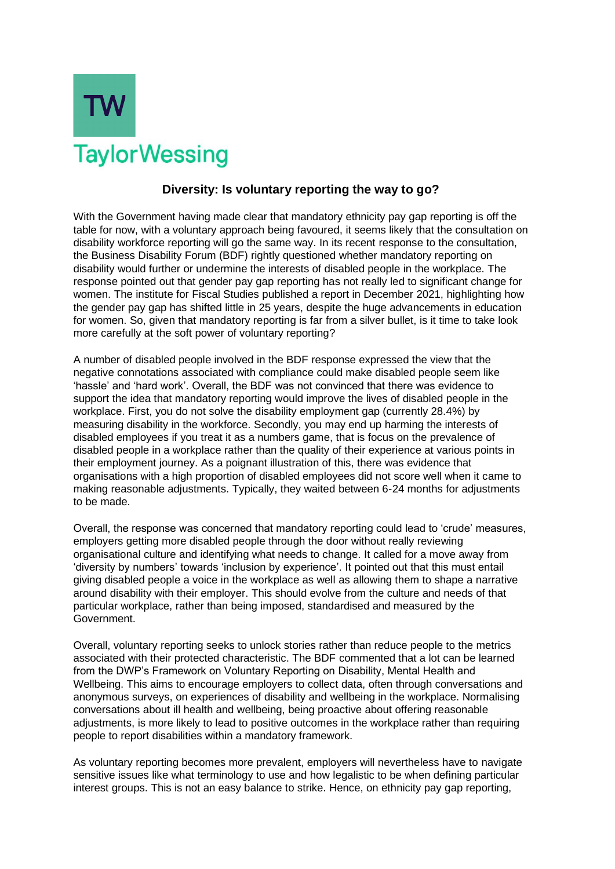

## **Diversity: Is voluntary reporting the way to go?**

With the Government having made clear that mandatory ethnicity pay gap reporting is off the table for now, with a voluntary approach being favoured, it seems likely that the consultation on disability workforce reporting will go the same way. In its recent response to the consultation, the Business Disability Forum (BDF) rightly questioned whether mandatory reporting on disability would further or undermine the interests of disabled people in the workplace. The response pointed out that gender pay gap reporting has not really led to significant change for women. The institute for Fiscal Studies published a report in December 2021, highlighting how the gender pay gap has shifted little in 25 years, despite the huge advancements in education for women. So, given that mandatory reporting is far from a silver bullet, is it time to take look more carefully at the soft power of voluntary reporting?

A number of disabled people involved in the BDF response expressed the view that the negative connotations associated with compliance could make disabled people seem like 'hassle' and 'hard work'. Overall, the BDF was not convinced that there was evidence to support the idea that mandatory reporting would improve the lives of disabled people in the workplace. First, you do not solve the disability employment gap (currently 28.4%) by measuring disability in the workforce. Secondly, you may end up harming the interests of disabled employees if you treat it as a numbers game, that is focus on the prevalence of disabled people in a workplace rather than the quality of their experience at various points in their employment journey. As a poignant illustration of this, there was evidence that organisations with a high proportion of disabled employees did not score well when it came to making reasonable adjustments. Typically, they waited between 6-24 months for adjustments to be made.

Overall, the response was concerned that mandatory reporting could lead to 'crude' measures, employers getting more disabled people through the door without really reviewing organisational culture and identifying what needs to change. It called for a move away from 'diversity by numbers' towards 'inclusion by experience'. It pointed out that this must entail giving disabled people a voice in the workplace as well as allowing them to shape a narrative around disability with their employer. This should evolve from the culture and needs of that particular workplace, rather than being imposed, standardised and measured by the Government.

Overall, voluntary reporting seeks to unlock stories rather than reduce people to the metrics associated with their protected characteristic. The BDF commented that a lot can be learned from the DWP's Framework on Voluntary Reporting on Disability, Mental Health and Wellbeing. This aims to encourage employers to collect data, often through conversations and anonymous surveys, on experiences of disability and wellbeing in the workplace. Normalising conversations about ill health and wellbeing, being proactive about offering reasonable adjustments, is more likely to lead to positive outcomes in the workplace rather than requiring people to report disabilities within a mandatory framework.

As voluntary reporting becomes more prevalent, employers will nevertheless have to navigate sensitive issues like what terminology to use and how legalistic to be when defining particular interest groups. This is not an easy balance to strike. Hence, on ethnicity pay gap reporting,